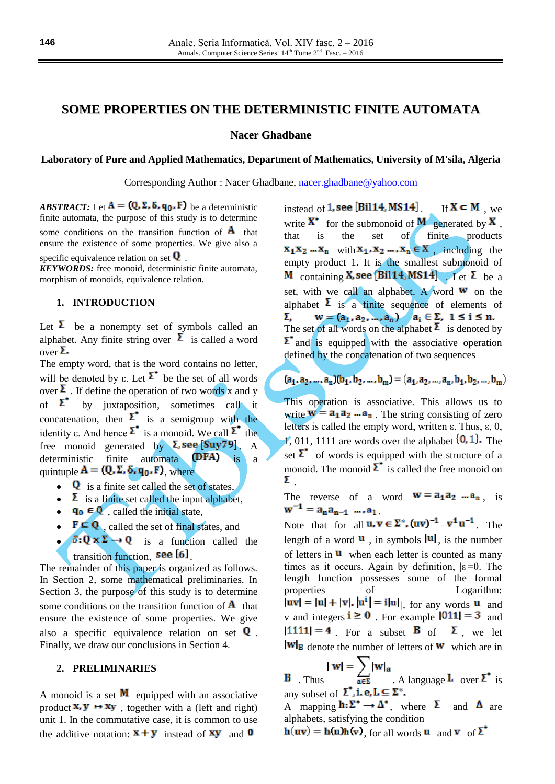# **SOME PROPERTIES ON THE DETERMINISTIC FINITE AUTOMATA**

**Nacer Ghadbane**

**Laboratory of Pure and Applied Mathematics, Department of Mathematics, University of M'sila, Algeria**

Corresponding Author : Nacer Ghadbane, [nacer.ghadbane@yahoo.com](mailto:nacer.ghadbane@yahoo.com)

*ABSTRACT:* Let  $A = (Q, \Sigma, \delta, q_0, F)$  be a deterministic finite automata, the purpose of this study is to determine some conditions on the transition function of  $\bf{A}$  that ensure the existence of some properties. We give also a

specific equivalence relation on set  $\bf{Q}$ .

*KEYWORDS:* free monoid, deterministic finite automata, morphism of monoids, equivalence relation.

### **1. INTRODUCTION**

Let  $\Sigma$  be a nonempty set of symbols called an alphabet. Any finite string over  $\overline{\Sigma}$  is called a word  $over \bf{\Sigma}$ .

The empty word, that is the word contains no letter, will be denoted by  $\varepsilon$ . Let  $\Sigma^*$  be the set of all words over  $\Sigma$  . If define the operation of two words x and y of  $\sum$  by juxtaposition, sometimes call it concatenation, then  $\sum$  is a semigroup with the identity ε. And hence  $\Sigma^*$  is a monoid. We call  $\Sigma^*$  the free monoid generated by  $\Sigma$ , see [Suy79]. A deterministic finite automata  $(\mathbf{DFA})$  is a quintuple  $A = (Q, \Sigma, \delta, q_0, F)$ , where

- $\bullet$  **Q** is a finite set called the set of states.
- $\bullet$   $\overline{\mathbf{\Sigma}}$  is a finite set called the input alphabet,
- $\bullet$   $\mathbf{q_0} \in \mathbf{Q}$ , called the initial state,
- $\bullet$   $\mathbf{F} \subseteq \mathbf{Q}$ , called the set of final states, and
- $\delta: Q \times \Sigma \to Q$  is a function called the transition function, see [6]

The remainder of this paper is organized as follows. In Section 2, some mathematical preliminaries. In Section 3, the purpose of this study is to determine some conditions on the transition function of  $\bf{A}$  that ensure the existence of some properties. We give also a specific equivalence relation on set  $Q$ . Finally, we draw our conclusions in Section 4.

#### **2. PRELIMINARIES**

A monoid is a set  $M$  equipped with an associative product  $X, Y \mapsto Xy$ , together with a (left and right) unit 1. In the commutative case, it is common to use the additive notation:  $\mathbf{x} + \mathbf{y}$  instead of  $\mathbf{xy}$  and **0** 

instead of 1, see [Bil14, MS14]  $\text{If } X \subset M$ , we write  $X^*$  for the submonoid of  $M$  generated by  $X$ . that is the set of finite products  $x_1x_2...x_n$  with  $x_1, x_2...x_n \in X$ , including the empty product 1. It is the smallest submonoid of M containing **X**, see [Bil14, MS14] Let  $\Sigma$  be a set, with we call an alphabet. A word  $w$  on the alphabet  $\Sigma$  is a finite sequence of elements of í The set of all words on the alphabet  $\lambda$  is denoted by  $\sum$  and is equipped with the associative operation defined by the concatenation of two sequences

$$
(a_1, a_2, \dots, a_n)(b_1, b_2, \dots, b_m) = (a_1, a_2, \dots, a_n, b_1, b_2, \dots, b_m)
$$

This operation is associative. This allows us to write  $w = a_1 a_2 ... a_n$ . The string consisting of zero letters is called the empty word, written ε. Thus, ε, 0, 1, 011, 1111 are words over the alphabet  $\{0, 1\}$ . The set  $\Sigma$  of words is equipped with the structure of a monoid. The monoid  $\Sigma^*$  is called the free monoid on Σ.

The reverse of a word  $\mathbf{w} = \mathbf{a_1} \mathbf{a_2} \dots \mathbf{a_n}$ , is  $w^{-1} = a_n a_{n-1} \dots a_1$ 

Note that for all  $\mathbf{u}, \mathbf{v} \in \Sigma^*$ ,  $(\mathbf{u}\mathbf{v})^{-1} = \mathbf{v}^{\mathbf{1}} \mathbf{u}^{-1}$ . The length of a word  $\bf{u}$ , in symbols  $\bf{u}$ , is the number of letters in  $\mathbf{u}$  when each letter is counted as many times as it occurs. Again by definition, |ε|=0. The length function possesses some of the formal properties of Logarithm:  $|uv| = |u| + |v|$ ,  $|u^i| = i|u|$ , for any words u and v and integers  $i \ge 0$  For example  $|011| = 3$  and  $|1111| = 4$ . For a subset **B** of **Σ**, we let  $\text{Iw}_B$  denote the number of letters of **w** which are in

$$
|\mathbf{w}| = \sum |\mathbf{w}|_{\mathbf{a}}
$$

**B** Thus  $\overrightarrow{a \in \Sigma}$  . A language **L** over  $\Sigma^*$  is any subset of  $\Sigma^{\bullet}$ , **i.** e,  $L \subseteq \Sigma^*$ . A mapping  $h: \Sigma^* \to \Delta^*$ , where  $\Sigma$  and  $\Delta$  are

alphabets, satisfying the condition

 $h(uv) = h(u)h(v)$  for all words u and v of  $\Sigma^*$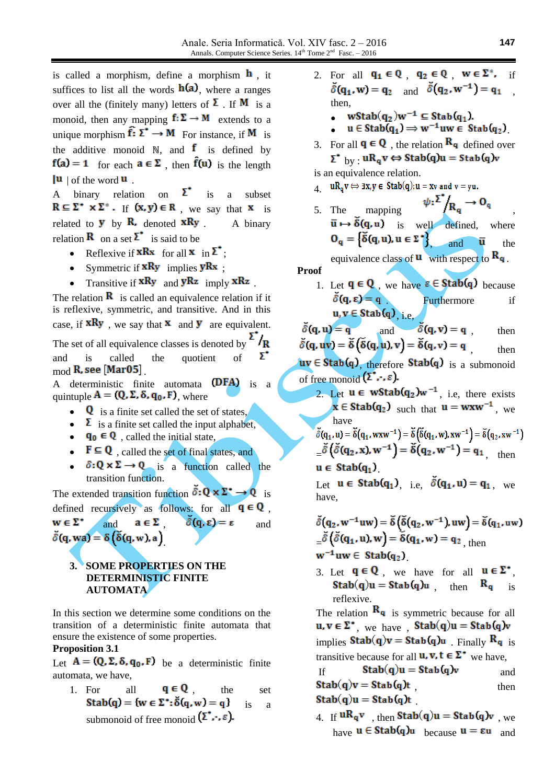is called a morphism, define a morphism  $\mathbf{h}$ , it suffices to list all the words  $h(a)$ , where a ranges over all the (finitely many) letters of  $\Sigma$ . If **M** is a monoid, then any mapping  $f: \Sigma \to M$  extends to a unique morphism  $\mathbf{f}: \Sigma^* \to M$  For instance, if M is the additive monoid  $\mathbb{N}$ , and **f** is defined by  $f(a) = 1$  for each  $a \in \Sigma$ , then  $\hat{f}(u)$  is the length  $|{\bf u}|$  of the word  ${\bf u}$ .

A binary relation on  $\Sigma^*$  is a subset  $R \subseteq \Sigma^* \times \Sigma^*$ . If  $(x, y) \in R$ , we say that  $x$  is related to **y** by **R**, denoted  $xRy$  A binary relation **R** on a set  $\Sigma$  is said to be

- Reflexive if  $xRx$  for all  $x$  in  $\Sigma^*$ :
- Symmetric if  $xRy$  implies  $yRx$ ;
- Transitive if  $xRy$  and  $yRz$  imply  $xRz$ .

The relation  $\bf{R}$  is called an equivalence relation if it is reflexive, symmetric, and transitive. And in this case, if  $xRy$ , we say that  $x$  and  $y$  are equivalent. The set of all equivalence classes is denoted by  $\sum_{k=1}^{\infty} I_{\text{R}}$ Σ. and is called the quotient of  $mod$  R, see [Mar05]

A deterministic finite automata  $(DFA)$  is a quintuple  $A = (Q, \Sigma, \delta, q_0, F)$ , where

- $\bullet$  **Q** is a finite set called the set of states,
- $\bullet$   $\overline{\mathbf{\Sigma}}$  is a finite set called the input alphabet,
- $\mathbf{q}_0 \in \mathbf{Q}$ , called the initial state,
- $\bullet \quad \mathbf{F} \subseteq \mathbf{Q}$ , called the set of final states, and
- $\delta: Q \times \Sigma \to Q$  is a function called the transition function.

The extended transition function  $\bar{\delta}: \mathbf{Q} \times \mathbf{\Sigma}^* \to \mathbf{Q}$  is defined recursively as follows: for all  $q \in Q$ ,  $w \in \Sigma^*$ and  $\mathbf{a} \in \Sigma$   $\delta(\mathbf{q}, \varepsilon) = \varepsilon$  and  $\delta(q, wa) = \delta(\delta(q, w), a)$ 

## **3. SOME PROPERTIES ON THE DETERMINISTIC FINITE AUTOMATA**

In this section we determine some conditions on the transition of a deterministic finite automata that ensure the existence of some properties.

#### **Proposition 3.1**

Let  $A = (Q, \Sigma, \delta, q_0, F)$  be a deterministic finite automata, we have,

1. For all  $\mathbf{q} \in \mathbf{Q}$ , the set Stab(q) = {w  $\in \Sigma^*$ :  $\delta(q, w) = q$ } is a submonoid of free monoid  $(\sum \cdots \varepsilon)$ .

- 2. For all  $\mathbf{q_1} \in \mathbf{Q}$ ,  $\mathbf{q_2} \in \mathbf{Q}$ ,  $\mathbf{w} \in \mathbf{\Sigma}^*$ , if  $\delta(\mathbf{q}_1, \mathbf{w}) = \mathbf{q}_2$  and  $\delta(\mathbf{q}_2, \mathbf{w}^{-1}) = \mathbf{q}_1$ then,
	- wStab $(q_2)w^{-1} \subseteq$ Stab $(q_1)$ .

•  $u \in$  Stab $(q_1) \Rightarrow w^{-1}uw \in$  Stab $(q_2)$ 

3. For all  $\mathbf{q} \in \mathbf{Q}$ , the relation  $\mathbf{R}_{\mathbf{q}}$  defined over  $\Sigma^*$  by  $\cdot$  uR<sub>a</sub>v  $\Leftrightarrow$  Stab(q)u = Stab(q)v

is an equivalence relation.

- $\mathbf{u} = \mathbf{u} \cdot \mathbf{R}_{\mathbf{u}} \mathbf{v} \Leftrightarrow \exists \mathbf{x}, \mathbf{y} \in \text{Stab}(\mathbf{q}) : \mathbf{u} = \mathbf{x} \mathbf{v} \text{ and } \mathbf{v} = \mathbf{y} \mathbf{u}.$
- 5. The mapping  $\psi: \sum_{\mathbf{R}_{\mathbf{q}}}^{\mathbf{r}} \to \mathbf{O}_{\mathbf{q}}$  $\overline{u} \mapsto \overline{\delta}(q, u)$  is well defined, where  $\mathbf{O}_{\mathbf{q}} = \begin{cases} \delta(\mathbf{q}, \mathbf{u}), \mathbf{u} \in \Sigma^{\bullet} \end{cases}$  and  $\overline{\mathbf{u}}$  the

equivalence class of  $\mathbf{u}$  with respect to  $\mathbf{R}_{\mathbf{q}}$ .

**Proof** 1. Let  $\mathbf{q} \in \mathbf{Q}$ , we have  $\varepsilon \in \text{Stab}(q)$  because . Furthermore if , i.e,

 $\delta(\mathbf{q}, \mathbf{u}) = \mathbf{q}$ and  $\delta(\mathbf{q}, \mathbf{v}) = \mathbf{q}$ , then  $\delta(\mathbf{q}, \mathbf{u}\mathbf{v}) = \tilde{\delta}(\tilde{\delta}(\mathbf{q}, \mathbf{u}), \mathbf{v}) = \tilde{\delta}(\mathbf{q}, \mathbf{v}) = \mathbf{q}$  then  $uv \in$  Stab(q), therefore Stab(q) is a submonoid of free monoid  $(\Sigma^{\bullet}, \cdot, \varepsilon)$ .

2. Let  $u \in wStab(q_2)w^{-1}$ , i.e, there exists  $x \in$  Stab(q<sub>2</sub>) such that  $u =$  wxw<sup>-1</sup>, we have

$$
\begin{aligned}\n\tilde{\delta}(q_1, u) &= \tilde{\delta}(q_1, wxw^{-1}) = \tilde{\delta}\left(\tilde{\delta}(q_1, w), xw^{-1}\right) = \tilde{\delta}(q_2, xw^{-1}) \\
&= \tilde{\delta}\left(\tilde{\delta}(q_2, x), w^{-1}\right) = \tilde{\delta}(q_2, w^{-1}) = q_1 \\
u \in \text{Stab}(q_1)\n\end{aligned}
$$

Let  $\mathbf{u} \in \text{Stab}(\mathbf{q}_1)$ , i.e.,  $\delta(\mathbf{q}_1, \mathbf{u}) = \mathbf{q}_1$ , we have,

 $\check{\delta}(q_2, w^{-1}uw) = \check{\delta}(\check{\delta}(q_2, w^{-1}), uw) = \check{\delta}(q_1, uw)$  $\delta(\delta(q_1, u), w) = \delta(q_1, w) = q_2$ <sub>then</sub>  $w^{-1}uw \in Stab(q_2)$ 

3. Let  $q \in Q$ , we have for all  $u \in \Sigma^*$ .  $Stab(q)u = Stab(q)u$  then  $R_q$  is reflexive.

The relation  $\mathbf{R}_{q}$  is symmetric because for all  $u, v \in \Sigma^*$ , we have ,  $Stab(q)u = Stab(q)v$ implies  $Stab(q)v = Stab(q)u$  Finally  $R_q$  is transitive because for all **u**, **v**,  $t \in \Sigma^*$  we have,

If 
$$
Stab(q)u = Stab(q)v
$$
 and  
\n
$$
Stab(q)v = Stab(q)t
$$
 then  
\n
$$
Stab(q)u = Stab(q)t
$$
 then

4. If  $uR_qv$ , then Stab(q)u = Stab(q)v, we have  $u \in$  Stab(q) $u$  because  $u = \epsilon u$  and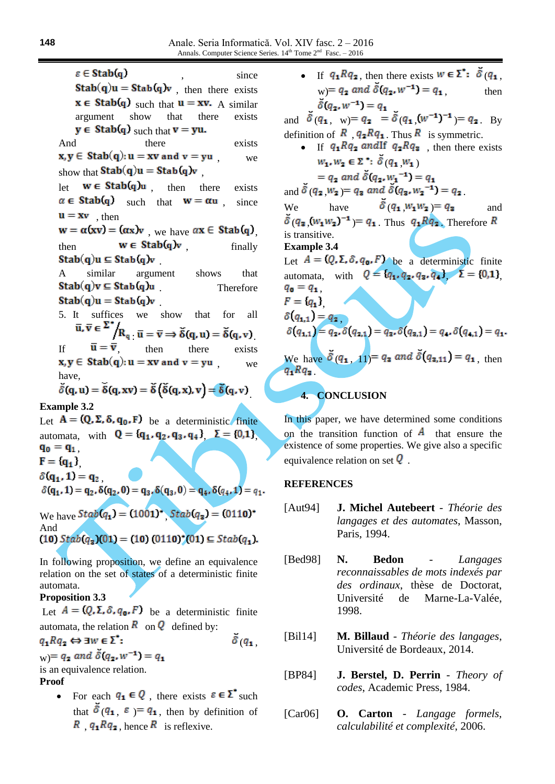$\varepsilon \in$ Stab $(q)$ since  $Stab(q)u = Stab(q)v$ , then there exists  $\mathbf{x} \in$  Stab(q) such that  $\mathbf{u} = \mathbf{x}\mathbf{v}$ . A similar argument show that there exists  $y \in$  Stab(q) such that  $v = yu$ . And there exists  $x, y \in$  Stab(q):  $u = xv$  and  $v = yu$  we show that  $Stab(q)u = Stab(q)v$ let  $w \in Stab(q)u$  then there exists  $\alpha \in$  Stab(q) such that  $w = \alpha u$ , since  $\mathbf{u} = \mathbf{x}\mathbf{v}$ , then  $w = \alpha(xv) = (\alpha x)v$  we have  $\alpha x \in$  Stable then  $w \in Stab(q)v$  finally  $Stab(q)u \subseteq Stab(q)v$ A similar argument shows that  $Stab(q)v \subseteq Stab(q)u$  Therefore  $Stab(q)u = Stab(q)v$ 5. It suffices we show that for all  $\overline{\mathbf{u}}, \overline{\mathbf{v}} \in \Sigma^* / \mathbf{R}_{\mathbf{u}} \cdot \overline{\mathbf{u}} = \overline{\mathbf{v}} \Longrightarrow \tilde{\delta}(\mathbf{q}, \mathbf{u}) = \tilde{\delta}(\mathbf{q}, \mathbf{v}).$ If  $\overline{\mathbf{u}} = \overline{\mathbf{v}}$ , then there exists<br>  $\mathbf{x}, \mathbf{y} \in \text{Stab}(\mathbf{q}): \mathbf{u} = \mathbf{x}\mathbf{v}$  and  $\mathbf{v} = \mathbf{y}\mathbf{u}$ , we , we have,  $\tilde{\delta}(q, u) = \tilde{\delta}(q, xv) = \tilde{\delta}(\tilde{\delta}(q, x), v) = \tilde{\delta}(q, v)$ **Example 3.2** Let  $A = (Q, \Sigma, \delta, q_0, F)$  be a deterministic finite automata, with  $Q = \{q_1, q_2, q_3, q_4\}$   $\Sigma = \{0,1\}$  $q_0 = q_1$ .  $F = [q_1]$  $\delta(q_1, 1) = q_2$ <br>  $\delta(q_1, 1) = q_2, \delta(q_2, 0) = q_3, \delta(q_3, 0) = q_4, \delta(q_4, 1) = q_1.$ We have  $Stab(q_1) = (1001)^{2}$   $Stab(q_2) = (0110)^{2}$ And<br>(10)  $Stab(q_3)(01) = (10) (0110)^*(01) \subseteq Stab(q_1).$ In following proposition, we define an equivalence relation on the set of states of a deterministic finite

### **Proposition 3.3**

automata.

Let  $A = (Q, \Sigma, \delta, q_0, F)$  be a deterministic finite automata, the relation  $\overline{R}$  on  $\overline{Q}$  defined by:  $q_1 R q_2 \Leftrightarrow \exists w \in \Sigma^*$ :  $\bar{\delta}$  ( $q_{1}$ )

 $w = q_2$  and  $\delta(q_2, w^{-1}) = q_1$ 

is an equivalence relation.

### **Proof**

• For each  $q_1 \in Q$ , there exists  $\varepsilon \in \Sigma^*$  such that  $\delta(q_1, \varepsilon) = q_1$ , then by definition of  $R$ ,  $q_1 R q_2$ , hence  $R$  is reflexive.

• If  $q_1 R q_2$ , then there exists  $w \in \Sigma^*$ :  $\tilde{\delta}(q_1)$ , w) =  $q_2$  and  $\delta(q_2, w^{-1}) = q_1$ , then  $\check{\delta}(q_2, w^{-1}) = q_1$ 

and  $\delta(q_1, w) = q_2 = \delta(q_1, (w^{-1})^{-1}) = q_2$ . By definition of  $\overline{R}$ ,  $q_2 R q_1$ . Thus  $\overline{R}$  is symmetric.

• If  $q_1 R q_2$  and If  $q_2 R q_3$ , then there exists  $w_1, w_2 \in \Sigma$  :  $\check{\delta}(q_1, w_1)$ 

 $= q_2$  and  $\tilde{\delta}(q_2, w_1^{-1}) = q_1$ and  $\tilde{\delta}(q_2, w_2) = q_3$  and  $\tilde{\delta}(q_3, w_2^{-1}) = q_2$ . We have  $\delta(q_1, w_1w_2) = q_2$  and  $\delta(q_3 \ (W_1 W_2)^{-1}) = q_1$ . Thus  $q_1 R q_2$ . Therefore R is transitive. **Example 3.4**

Let  $A = (Q, \Sigma, \delta, q_0, F)$  be a deterministic finite automata, with  $Q = \{q_1, q_2, q_3, q_4\}$ ,  $\Sigma = \{0, 1\}$ ,  $q_0 = q_1$ <br> $F = (q_1)$ 

$$
F = \{q_1\},
$$
  
\n
$$
\delta(q_{1,1}) = q_2,
$$
  
\n
$$
\delta(q_{1,1}) = q_2, \delta(q_{2,1}) = q_3, \delta(q_{3,1}) = q_4, \delta(q_{4,1}) = q_1.
$$

We have  $\tilde{\delta}(q_1, 11) = q_3$  and  $\tilde{\delta}(q_{3,11}) = q_1$ , then  $q_1 R q_2$ 

## **4. CONCLUSION**

In this paper, we have determined some conditions on the transition function of  $\vec{A}$  that ensure the existence of some properties. We give also a specific equivalence relation on set  $Q$ .

### **REFERENCES**

- [Aut94] **J. Michel Autebeert** *Théorie des langages et des automates*, Masson, Paris, 1994.
- [Bed98] **N. Bedon** *Langages reconnaissables de mots indexés par des ordinaux*, thèse de Doctorat, Université de Marne-La-Valée, 1998.
- [Bil14] **M. Billaud** *Théorie des langages*, Université de Bordeaux, 2014.
- [BP84] **J. Berstel, D. Perrin** *Theory of codes*, Academic Press, 1984.
- [Car06] **O. Carton** *Langage formels, calculabilité et complexité*, 2006.